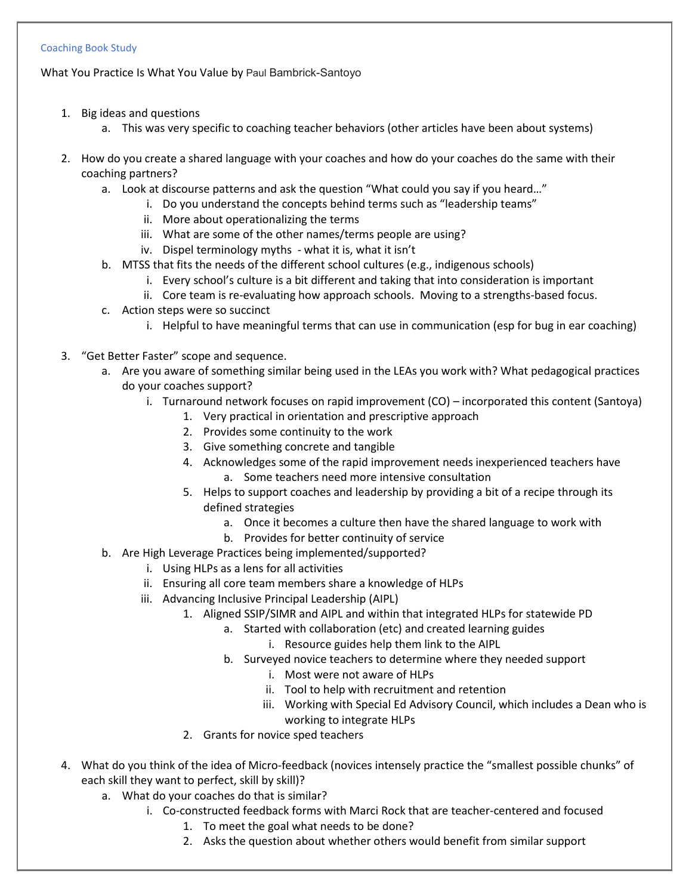## Coaching Book Study

What You Practice Is What You Value by Paul Bambrick-Santoyo

- 1. Big ideas and questions
	- a. This was very specific to coaching teacher behaviors (other articles have been about systems)
- 2. How do you create a shared language with your coaches and how do your coaches do the same with their coaching partners?
	- a. Look at discourse patterns and ask the question "What could you say if you heard…"
		- i. Do you understand the concepts behind terms such as "leadership teams"
		- ii. More about operationalizing the terms
		- iii. What are some of the other names/terms people are using?
		- iv. Dispel terminology myths what it is, what it isn't
	- b. MTSS that fits the needs of the different school cultures (e.g., indigenous schools)
		- i. Every school's culture is a bit different and taking that into consideration is important
		- ii. Core team is re-evaluating how approach schools. Moving to a strengths-based focus.
	- c. Action steps were so succinct
		- i. Helpful to have meaningful terms that can use in communication (esp for bug in ear coaching)
- 3. "Get Better Faster" scope and sequence.
	- a. Are you aware of something similar being used in the LEAs you work with? What pedagogical practices do your coaches support?
		- i. Turnaround network focuses on rapid improvement (CO) incorporated this content (Santoya)
			- 1. Very practical in orientation and prescriptive approach
			- 2. Provides some continuity to the work
			- 3. Give something concrete and tangible
			- 4. Acknowledges some of the rapid improvement needs inexperienced teachers have
				- a. Some teachers need more intensive consultation
			- 5. Helps to support coaches and leadership by providing a bit of a recipe through its defined strategies
				- a. Once it becomes a culture then have the shared language to work with
			- b. Provides for better continuity of service
	- b. Are High Leverage Practices being implemented/supported?
		- i. Using HLPs as a lens for all activities
		- ii. Ensuring all core team members share a knowledge of HLPs
		- iii. Advancing Inclusive Principal Leadership (AIPL)
			- 1. Aligned SSIP/SIMR and AIPL and within that integrated HLPs for statewide PD
				- a. Started with collaboration (etc) and created learning guides
					- i. Resource guides help them link to the AIPL
				- b. Surveyed novice teachers to determine where they needed support
					- i. Most were not aware of HLPs
					- ii. Tool to help with recruitment and retention
					- iii. Working with Special Ed Advisory Council, which includes a Dean who is working to integrate HLPs
			- 2. Grants for novice sped teachers
- 4. What do you think of the idea of Micro-feedback (novices intensely practice the "smallest possible chunks" of each skill they want to perfect, skill by skill)?
	- a. What do your coaches do that is similar?
		- i. Co-constructed feedback forms with Marci Rock that are teacher-centered and focused
			- 1. To meet the goal what needs to be done?
			- 2. Asks the question about whether others would benefit from similar support